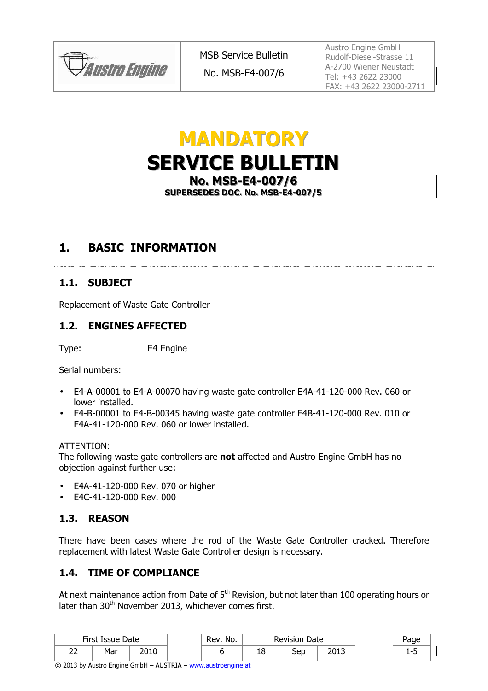

No. MSB-E4-007/6

Austro Engine GmbH Rudolf-Diesel-Strasse 11 A-2700 Wiener Neustadt Tel: +43 2622 23000 FAX: +43 2622 23000-2711

# **MANDATORY** SERVICE BULLETIN No. MSB-E4-007/6 SUPERSEDES DOC. No. MSB-E4-007/5

## 1. BASIC INFORMATION

### 1.1. SUBJECT

Replacement of Waste Gate Controller

#### 1.2. ENGINES AFFECTED

Type: E4 Engine

Serial numbers:

- E4-A-00001 to E4-A-00070 having waste gate controller E4A-41-120-000 Rev. 060 or lower installed.
- E4-B-00001 to E4-B-00345 having waste gate controller E4B-41-120-000 Rev. 010 or E4A-41-120-000 Rev. 060 or lower installed.

#### ATTENTION:

The following waste gate controllers are not affected and Austro Engine GmbH has no objection against further use:

- E4A-41-120-000 Rev. 070 or higher
- E4C-41-120-000 Rev. 000

### 1.3. REASON

There have been cases where the rod of the Waste Gate Controller cracked. Therefore replacement with latest Waste Gate Controller design is necessary.

#### 1.4. TIME OF COMPLIANCE

At next maintenance action from Date of  $5<sup>th</sup>$  Revision, but not later than 100 operating hours or later than 30<sup>th</sup> November 2013, whichever comes first.

|             | First Issue Date |      | No.<br>Rev. |   | <b>Revision Date</b> |               | Page            |  |
|-------------|------------------|------|-------------|---|----------------------|---------------|-----------------|--|
| $\sim$<br>ے | Mar              | 2010 |             | ᅭ | Sep                  | ר וחר<br>∸ບ⊥ພ | -<br>- -<br>- - |  |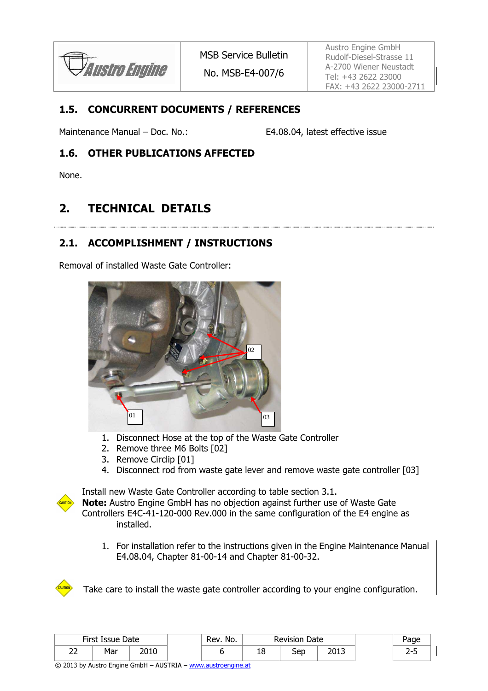**Austro Engine** 

No. MSB-E4-007/6

Austro Engine GmbH Rudolf-Diesel-Strasse 11 A-2700 Wiener Neustadt Tel: +43 2622 23000 FAX: +43 2622 23000-2711

#### 1.5. CONCURRENT DOCUMENTS / REFERENCES

Maintenance Manual – Doc. No.: E4.08.04, latest effective issue

#### 1.6. OTHER PUBLICATIONS AFFECTED

None.

## 2. TECHNICAL DETAILS

#### 2.1. ACCOMPLISHMENT / INSTRUCTIONS

Removal of installed Waste Gate Controller:



- 1. Disconnect Hose at the top of the Waste Gate Controller
- 2. Remove three M6 Bolts [02]
- 3. Remove Circlip [01]
- 4. Disconnect rod from waste gate lever and remove waste gate controller [03]



Install new Waste Gate Controller according to table section 3.1.

Note: Austro Engine GmbH has no objection against further use of Waste Gate Controllers E4C-41-120-000 Rev.000 in the same configuration of the E4 engine as installed.

1. For installation refer to the instructions given in the Engine Maintenance Manual E4.08.04, Chapter 81-00-14 and Chapter 81-00-32.



Take care to install the waste gate controller according to your engine configuration.

|             | First Issue Date |      | Rev. No. |   | <b>Revision Date</b> |               | Page            |  |
|-------------|------------------|------|----------|---|----------------------|---------------|-----------------|--|
| $\sim$<br>ے | Mar              | 2010 |          | ᅩ | Sep                  | วกา ว<br>د⊥∪∠ | ,<br><u>.</u> . |  |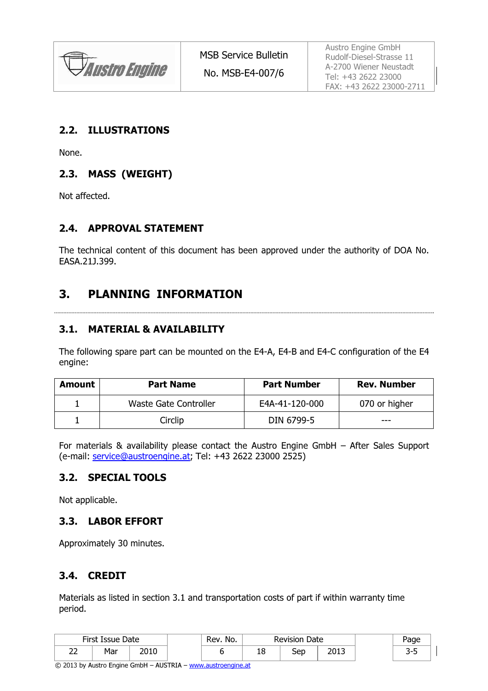

#### 2.2. ILLUSTRATIONS

None.

### 2.3. MASS (WEIGHT)

Not affected.

#### 2.4. APPROVAL STATEMENT

The technical content of this document has been approved under the authority of DOA No. EASA.21J.399.

## 3. PLANNING INFORMATION

#### 3.1. MATERIAL & AVAILABILITY

The following spare part can be mounted on the E4-A, E4-B and E4-C configuration of the E4 engine:

| <b>Amount</b> | <b>Part Name</b>      | <b>Part Number</b> | <b>Rev. Number</b> |  |  |
|---------------|-----------------------|--------------------|--------------------|--|--|
|               | Waste Gate Controller | E4A-41-120-000     | 070 or higher      |  |  |
|               | Circlip               | DIN 6799-5         | ---                |  |  |

For materials & availability please contact the Austro Engine GmbH – After Sales Support (e-mail: service@austroengine.at; Tel: +43 2622 23000 2525)

#### 3.2. SPECIAL TOOLS

Not applicable.

#### 3.3. LABOR EFFORT

Approximately 30 minutes.

### 3.4. CREDIT

Materials as listed in section 3.1 and transportation costs of part if within warranty time period.

|                     | First Issue Date |      | Rev. No. |    | Revision Date |               | Page |  |
|---------------------|------------------|------|----------|----|---------------|---------------|------|--|
| $\sim$<br><u>__</u> | Mar              | 2010 |          | тc | Sep           | כ וחר<br>∠ບ⊥ປ | - -  |  |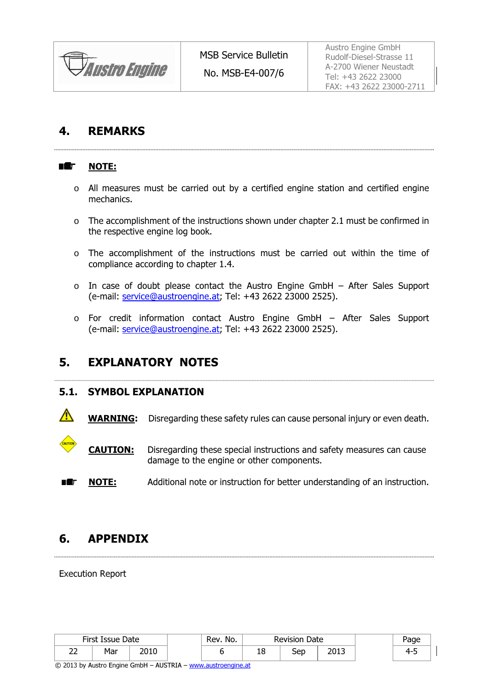

## 4. REMARKS

#### ■鑑 NOTE:

- o All measures must be carried out by a certified engine station and certified engine mechanics.
- o The accomplishment of the instructions shown under chapter 2.1 must be confirmed in the respective engine log book.
- o The accomplishment of the instructions must be carried out within the time of compliance according to chapter 1.4.
- o In case of doubt please contact the Austro Engine GmbH After Sales Support (e-mail: service@austroengine.at; Tel: +43 2622 23000 2525).
- o For credit information contact Austro Engine GmbH After Sales Support (e-mail: service@austroengine.at; Tel: +43 2622 23000 2525).

## 5. EXPLANATORY NOTES

#### 5.1. SYMBOL EXPLANATION

WARNING: Disregarding these safety rules can cause personal injury or even death.

**CAUTION:** Disregarding these special instructions and safety measures can cause damage to the engine or other components.

 NOTE: Additional note or instruction for better understanding of an instruction. 8 ÆF

## 6. APPENDIX

Execution Report

|             | First Issue Date        |      | Rev. No. |   | <b>Revision Date</b> |       | Page |
|-------------|-------------------------|------|----------|---|----------------------|-------|------|
| $\sim$<br>້ | M <sub>2r</sub><br>'ldi | 2010 |          | ᅩ | Sep                  | ר וחר | ⊿_'  |